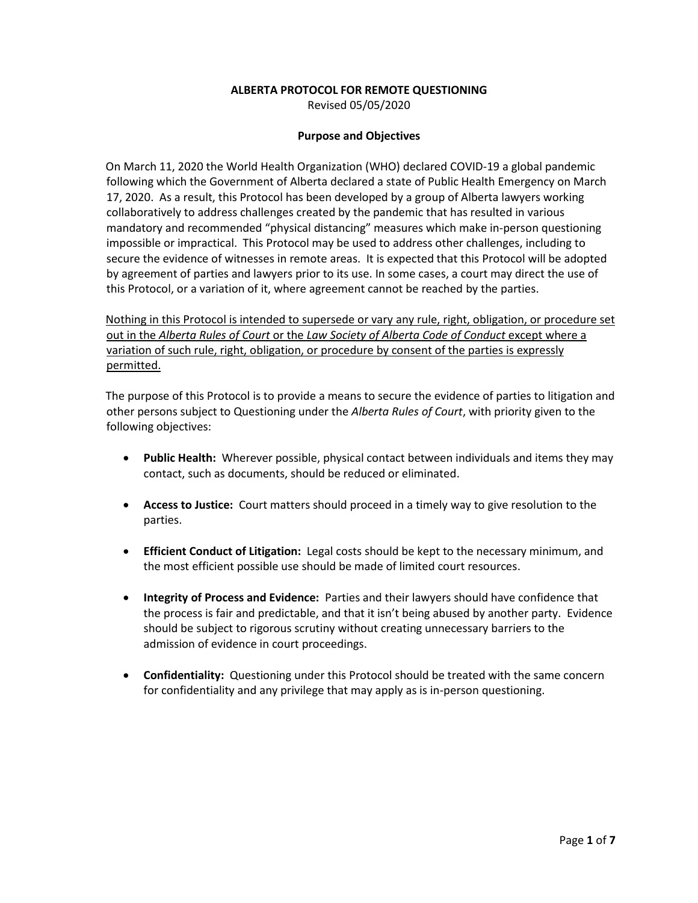## **ALBERTA PROTOCOL FOR REMOTE QUESTIONING**

Revised 05/05/2020

#### **Purpose and Objectives**

On March 11, 2020 the World Health Organization (WHO) declared COVID-19 a global pandemic following which the Government of Alberta declared a state of Public Health Emergency on March 17, 2020. As a result, this Protocol has been developed by a group of Alberta lawyers working collaboratively to address challenges created by the pandemic that has resulted in various mandatory and recommended "physical distancing" measures which make in-person questioning impossible or impractical. This Protocol may be used to address other challenges, including to secure the evidence of witnesses in remote areas. It is expected that this Protocol will be adopted by agreement of parties and lawyers prior to its use. In some cases, a court may direct the use of this Protocol, or a variation of it, where agreement cannot be reached by the parties.

Nothing in this Protocol is intended to supersede or vary any rule, right, obligation, or procedure set out in the *Alberta Rules of Court* or the *Law Society of Alberta Code of Conduct* except where a variation of such rule, right, obligation, or procedure by consent of the parties is expressly permitted.

The purpose of this Protocol is to provide a means to secure the evidence of parties to litigation and other persons subject to Questioning under the *Alberta Rules of Court*, with priority given to the following objectives:

- **Public Health:** Wherever possible, physical contact between individuals and items they may contact, such as documents, should be reduced or eliminated.
- **Access to Justice:** Court matters should proceed in a timely way to give resolution to the parties.
- **Efficient Conduct of Litigation:** Legal costs should be kept to the necessary minimum, and the most efficient possible use should be made of limited court resources.
- **Integrity of Process and Evidence:** Parties and their lawyers should have confidence that the process is fair and predictable, and that it isn't being abused by another party. Evidence should be subject to rigorous scrutiny without creating unnecessary barriers to the admission of evidence in court proceedings.
- **Confidentiality:** Questioning under this Protocol should be treated with the same concern for confidentiality and any privilege that may apply as is in-person questioning.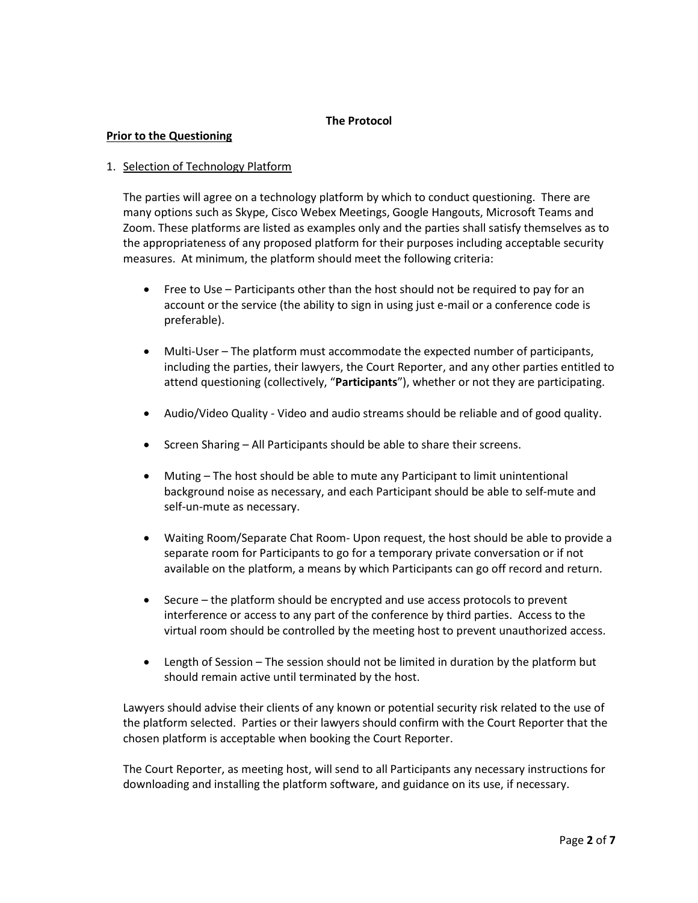## **The Protocol**

#### **Prior to the Questioning**

## 1. Selection of Technology Platform

The parties will agree on a technology platform by which to conduct questioning. There are many options such as Skype, Cisco Webex Meetings, Google Hangouts, Microsoft Teams and Zoom. These platforms are listed as examples only and the parties shall satisfy themselves as to the appropriateness of any proposed platform for their purposes including acceptable security measures. At minimum, the platform should meet the following criteria:

- Free to Use Participants other than the host should not be required to pay for an account or the service (the ability to sign in using just e-mail or a conference code is preferable).
- Multi-User The platform must accommodate the expected number of participants, including the parties, their lawyers, the Court Reporter, and any other parties entitled to attend questioning (collectively, "**Participants**"), whether or not they are participating.
- Audio/Video Quality Video and audio streams should be reliable and of good quality.
- Screen Sharing All Participants should be able to share their screens.
- Muting The host should be able to mute any Participant to limit unintentional background noise as necessary, and each Participant should be able to self-mute and self-un-mute as necessary.
- Waiting Room/Separate Chat Room- Upon request, the host should be able to provide a separate room for Participants to go for a temporary private conversation or if not available on the platform, a means by which Participants can go off record and return.
- Secure the platform should be encrypted and use access protocols to prevent interference or access to any part of the conference by third parties. Access to the virtual room should be controlled by the meeting host to prevent unauthorized access.
- Length of Session The session should not be limited in duration by the platform but should remain active until terminated by the host.

Lawyers should advise their clients of any known or potential security risk related to the use of the platform selected. Parties or their lawyers should confirm with the Court Reporter that the chosen platform is acceptable when booking the Court Reporter.

The Court Reporter, as meeting host, will send to all Participants any necessary instructions for downloading and installing the platform software, and guidance on its use, if necessary.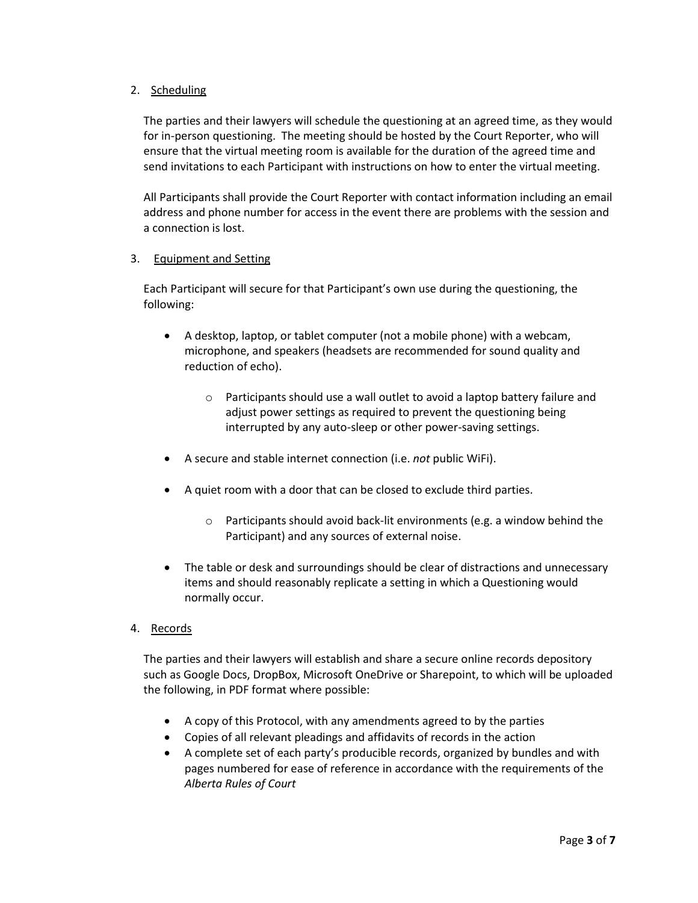# 2. Scheduling

The parties and their lawyers will schedule the questioning at an agreed time, as they would for in-person questioning. The meeting should be hosted by the Court Reporter, who will ensure that the virtual meeting room is available for the duration of the agreed time and send invitations to each Participant with instructions on how to enter the virtual meeting.

All Participants shall provide the Court Reporter with contact information including an email address and phone number for access in the event there are problems with the session and a connection is lost.

## 3. Equipment and Setting

Each Participant will secure for that Participant's own use during the questioning, the following:

- A desktop, laptop, or tablet computer (not a mobile phone) with a webcam, microphone, and speakers (headsets are recommended for sound quality and reduction of echo).
	- o Participants should use a wall outlet to avoid a laptop battery failure and adjust power settings as required to prevent the questioning being interrupted by any auto-sleep or other power-saving settings.
- A secure and stable internet connection (i.e. *not* public WiFi).
- A quiet room with a door that can be closed to exclude third parties.
	- o Participants should avoid back-lit environments (e.g. a window behind the Participant) and any sources of external noise.
- The table or desk and surroundings should be clear of distractions and unnecessary items and should reasonably replicate a setting in which a Questioning would normally occur.
- 4. Records

The parties and their lawyers will establish and share a secure online records depository such as Google Docs, DropBox, Microsoft OneDrive or Sharepoint, to which will be uploaded the following, in PDF format where possible:

- A copy of this Protocol, with any amendments agreed to by the parties
- Copies of all relevant pleadings and affidavits of records in the action
- A complete set of each party's producible records, organized by bundles and with pages numbered for ease of reference in accordance with the requirements of the *Alberta Rules of Court*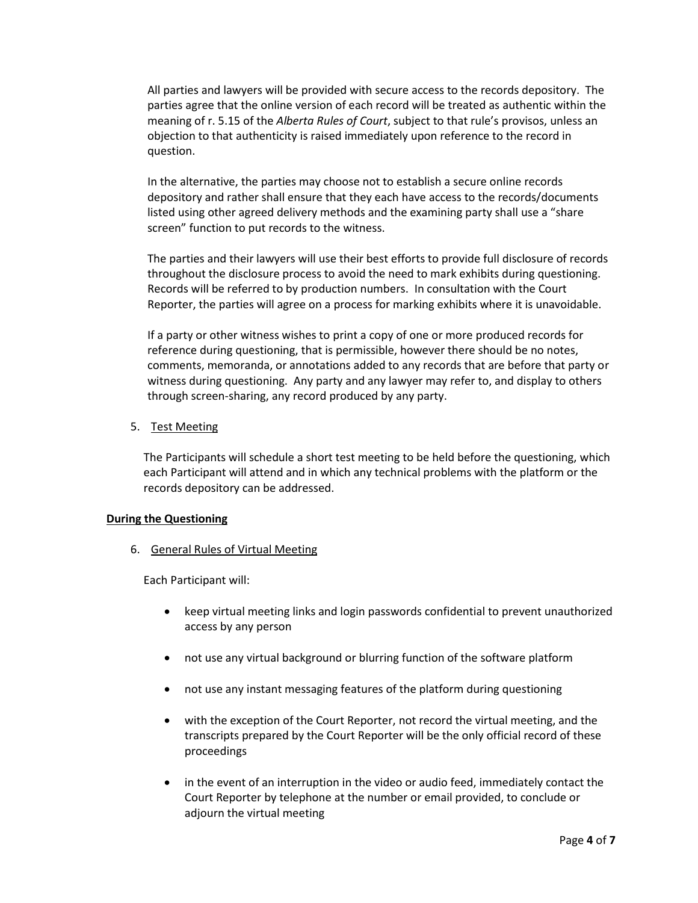All parties and lawyers will be provided with secure access to the records depository. The parties agree that the online version of each record will be treated as authentic within the meaning of r. 5.15 of the *Alberta Rules of Court*, subject to that rule's provisos, unless an objection to that authenticity is raised immediately upon reference to the record in question.

In the alternative, the parties may choose not to establish a secure online records depository and rather shall ensure that they each have access to the records/documents listed using other agreed delivery methods and the examining party shall use a "share screen" function to put records to the witness.

The parties and their lawyers will use their best efforts to provide full disclosure of records throughout the disclosure process to avoid the need to mark exhibits during questioning. Records will be referred to by production numbers. In consultation with the Court Reporter, the parties will agree on a process for marking exhibits where it is unavoidable.

If a party or other witness wishes to print a copy of one or more produced records for reference during questioning, that is permissible, however there should be no notes, comments, memoranda, or annotations added to any records that are before that party or witness during questioning. Any party and any lawyer may refer to, and display to others through screen-sharing, any record produced by any party.

5. Test Meeting

The Participants will schedule a short test meeting to be held before the questioning, which each Participant will attend and in which any technical problems with the platform or the records depository can be addressed.

## **During the Questioning**

6. General Rules of Virtual Meeting

Each Participant will:

- keep virtual meeting links and login passwords confidential to prevent unauthorized access by any person
- not use any virtual background or blurring function of the software platform
- not use any instant messaging features of the platform during questioning
- with the exception of the Court Reporter, not record the virtual meeting, and the transcripts prepared by the Court Reporter will be the only official record of these proceedings
- in the event of an interruption in the video or audio feed, immediately contact the Court Reporter by telephone at the number or email provided, to conclude or adjourn the virtual meeting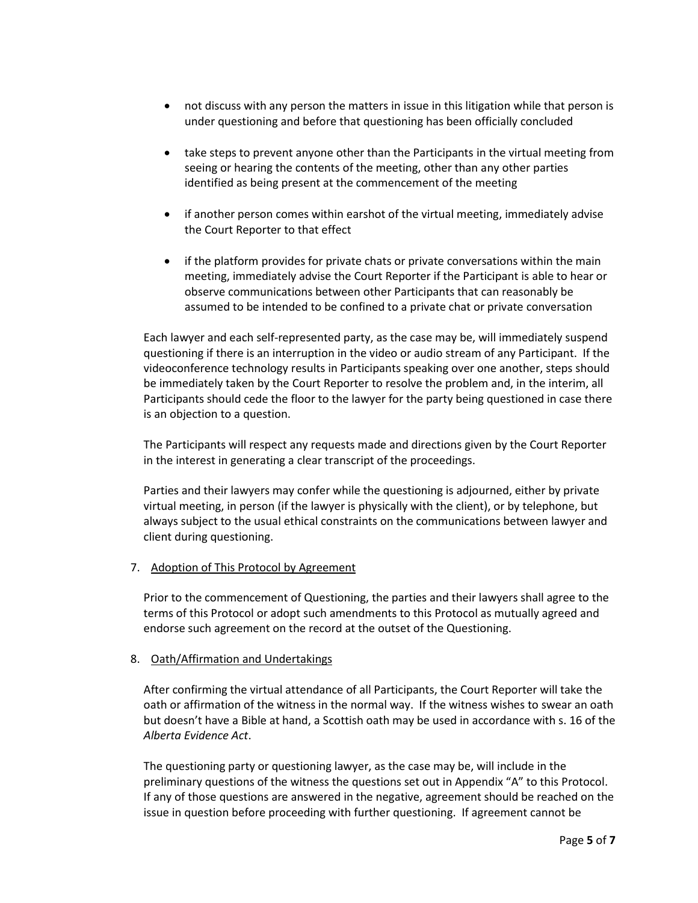- not discuss with any person the matters in issue in this litigation while that person is under questioning and before that questioning has been officially concluded
- take steps to prevent anyone other than the Participants in the virtual meeting from seeing or hearing the contents of the meeting, other than any other parties identified as being present at the commencement of the meeting
- if another person comes within earshot of the virtual meeting, immediately advise the Court Reporter to that effect
- if the platform provides for private chats or private conversations within the main meeting, immediately advise the Court Reporter if the Participant is able to hear or observe communications between other Participants that can reasonably be assumed to be intended to be confined to a private chat or private conversation

Each lawyer and each self-represented party, as the case may be, will immediately suspend questioning if there is an interruption in the video or audio stream of any Participant. If the videoconference technology results in Participants speaking over one another, steps should be immediately taken by the Court Reporter to resolve the problem and, in the interim, all Participants should cede the floor to the lawyer for the party being questioned in case there is an objection to a question.

The Participants will respect any requests made and directions given by the Court Reporter in the interest in generating a clear transcript of the proceedings.

Parties and their lawyers may confer while the questioning is adjourned, either by private virtual meeting, in person (if the lawyer is physically with the client), or by telephone, but always subject to the usual ethical constraints on the communications between lawyer and client during questioning.

7. Adoption of This Protocol by Agreement

Prior to the commencement of Questioning, the parties and their lawyers shall agree to the terms of this Protocol or adopt such amendments to this Protocol as mutually agreed and endorse such agreement on the record at the outset of the Questioning.

## 8. Oath/Affirmation and Undertakings

After confirming the virtual attendance of all Participants, the Court Reporter will take the oath or affirmation of the witness in the normal way. If the witness wishes to swear an oath but doesn't have a Bible at hand, a Scottish oath may be used in accordance with s. 16 of the *Alberta Evidence Act*.

The questioning party or questioning lawyer, as the case may be, will include in the preliminary questions of the witness the questions set out in Appendix "A" to this Protocol. If any of those questions are answered in the negative, agreement should be reached on the issue in question before proceeding with further questioning. If agreement cannot be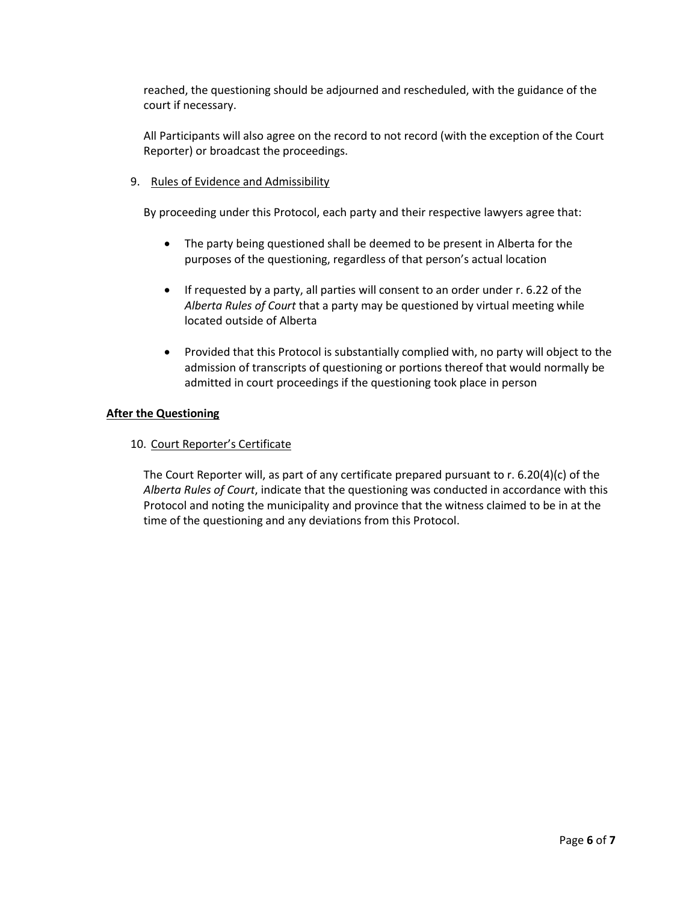reached, the questioning should be adjourned and rescheduled, with the guidance of the court if necessary.

All Participants will also agree on the record to not record (with the exception of the Court Reporter) or broadcast the proceedings.

## 9. Rules of Evidence and Admissibility

By proceeding under this Protocol, each party and their respective lawyers agree that:

- The party being questioned shall be deemed to be present in Alberta for the purposes of the questioning, regardless of that person's actual location
- If requested by a party, all parties will consent to an order under r. 6.22 of the *Alberta Rules of Court* that a party may be questioned by virtual meeting while located outside of Alberta
- Provided that this Protocol is substantially complied with, no party will object to the admission of transcripts of questioning or portions thereof that would normally be admitted in court proceedings if the questioning took place in person

## **After the Questioning**

## 10. Court Reporter's Certificate

The Court Reporter will, as part of any certificate prepared pursuant to r. 6.20(4)(c) of the *Alberta Rules of Court*, indicate that the questioning was conducted in accordance with this Protocol and noting the municipality and province that the witness claimed to be in at the time of the questioning and any deviations from this Protocol.